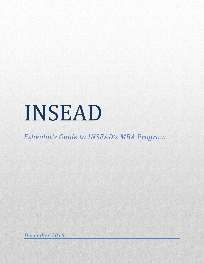# INSEAD

*Eshkolot's Guide to INSEAD's MBA Program*

*December 2016*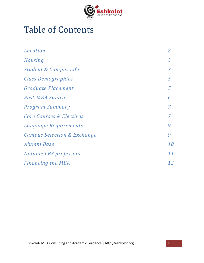

# Table of Contents

| Location                               |                |
|----------------------------------------|----------------|
| Housing                                | $\overline{3}$ |
| <b>Student &amp; Campus Life</b>       | $\overline{3}$ |
| <b>Class Demographics</b>              | $\overline{5}$ |
| <b>Graduate Placement</b>              | $\overline{5}$ |
| <b>Post-MBA Salaries</b>               | 6              |
| <b>Program Summary</b>                 | 7              |
| Core Courses & Electives               | 7              |
| Language Requirements                  | 9              |
| <b>Campus Selection &amp; Exchange</b> | 9              |
| Alumni Base                            | 10             |
| Notable LBS professors                 | 11             |
| <b>Financing the MBA</b>               | 12             |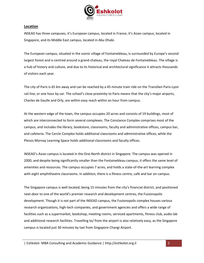

# **Location**

INSEAD has three campuses, it's European campus, located in France, it's Asian campus, located in Singapore, and its Middle East campus, located in Abu Dhabi.

The European campus, situated in the scenic village of Fontainebleau, is surrounded by Europe's second largest forest and is centred around a grand chateau, the royal Chateau de Fontainebleau. The village is a hub of history and culture, and due to its historical and architectural significance it attracts thousands of visitors each year.

The city of Paris is 65 km away and can be reached by a 45 minute train ride on the Transilien Paris-Lyon rail line, or one hour by car. The school's close proximity to Paris means that the city's major airports, Charles de Gaulle and Orly, are within easy reach within an hour from campus.

At the western edge of the town, the campus occupies 20 acres and consists of 19 buildings, most of which are interconnected to form several complexes. The Constance Complex comprises most of the campus, and includes the library, bookstore, classrooms, faculty and administrative offices, campus bar, and cafeteria. The Cercle Complex holds additional classrooms and administrative offices, while the Plessis Mornay Learning Space holds additional classrooms and faculty offices.

INSEAD's Asian campus is located in the One-North district in Singapore. The campus was opened in 2000, and despite being significantly smaller than the Fontainebleau campus, it offers the same level of amenities and resources. The campus occupies 7 acres, and holds a state-of-the-art learning complex with eight amphitheatre classrooms. In addition, there is a fitness centre, café and bar on campus.

The Singapore campus is well located, being 15 minutes from the city's financial district, and positioned next-door to one of the world's premier research and development centres, the Fusionopolis development. Though it is not part of the INSEAD campus, the Fusionopolis complex houses various research organizations, high-tech companies, and government agencies and offers a wide range of facilities such as a supermarket, bookshop, meeting rooms, serviced apartments, fitness club, audio lab and additional research facilities. Travelling to/ from the airport is also relatively easy, as the Singapore campus is located just 30 minutes by taxi from Singapore Changi Airport.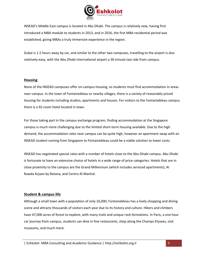

INSEAD's Middle East campus is located in Abu Dhabi. The campus is relatively new, having first introduced a MBA module to students in 2013, and in 2016, the first MBA residential period was established, giving MBAs a truly immersive experience in the region.

Dubai is 1.5 hours away by car, and similar to the other two campuses, travelling to the airport is also relatively easy, with the Abu Dhabi International airport a 30 minute taxi ride from campus.

#### **Housing**

None of the INSEAD campuses offer on-campus housing, so students must find accommodation in areas near campus. In the town of Fontainebleau or nearby villages, there is a variety of reasonably priced housing for students including studios, apartments and houses. For visitors to the Fontainebleau campus there is a 92-room hotel located in town.

For those taking part in the campus exchange program, finding accommodation at the Singapore campus is much more challenging due to the limited short-term housing available. Due to the high demand, the accommodation rates near campus can be quite high, however an apartment swap with an INSEAD student coming from Singapore to Fontainebleau could be a viable solution to lower costs.

INSEAD has negotiated special rates with a number of hotels close to the Abu Dhabi campus. Abu Dhabi is fortunate to have an extensive choice of hotels in a wide range of price categories. Hotels that are in close proximity to the campus are the Grand Millennium (which includes serviced apartments), Al Rawda Arjaan by Rotana, and Centro Al Manhal.

#### **Student & campus life**

Although a small town with a population of only 16,000, Fontainebleau has a lively shopping and dining scene and attracts thousands of visitors each year due to its history and culture. Hikers and climbers have 47,000 acres of forest to explore, with many trails and unique rock formations. In Paris, a one hour car journey from campus, students can dine in fine restaurants, shop along the Champs-Elysees, visit museums, and much more.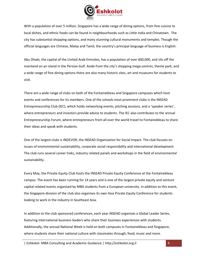

With a population of over 5 million, Singapore has a wide range of dining options, from fine cuisine to local dishes, and ethnic foods can be found in neighbourhoods such as Little India and Chinatown. The city has substantial shopping options, and many stunning cultural monuments and temples. Though the official languages are Chinese, Malay and Tamil, the country's principal language of business is English.

Abu Dhabi, the capital of the United Arab Emirates, has a population of over 600,000, and sits off the mainland on an island in the Persian Gulf. Aside from the city's shopping mega-centres, theme park, and a wide range of fine dining options there are also many historic sites, art and museums for students to visit.

There are a wide range of clubs on both of the Fontainebleau and Singapore campuses which host events and conferences for its members. One of the schools most prominent clubs is the INSEAD Entrepreneurship Club (IEC), which holds networking events, pitching sessions, and a 'speaker series', where entrepreneurs and investors provide advice to students. The IEC also contributes to the annual Entrepreneurship Forum, where entrepreneurs from all over the world travel to Fontainebleau to share their ideas and speak with students.

One of the largest clubs is INDEVOR, the INSEAD Organization for Social Impact. The club focuses on issues of environmental sustainability, corporate social responsibility and international development. The club runs several career treks, industry related panels and workshops in the field of environmental sustainability.

Every May, the Private Equity Club hosts the INSEAD Private Equity Conference at the Fontainebleau campus. The event has been running for 14 years and is one of the largest private equity and venture capital related events organised by MBA students from a European university. In addition to this event, the Singapore division of the club also organises its own Asia Private Equity Conference for students looking to work in the industry in Southeast Asia.

In addition to the club sponsored conferences, each year INSEAD organises a Global Leader Series, featuring international business leaders who share their business experiences with students. Additionally, the annual National Week is held on both campuses in Fontainebleau and Singapore, where students share their national culture with classmates through, food, music and more.

| Eshkolot- MBA Consulting and Academic Guidance | http://eshkolot.org.il 4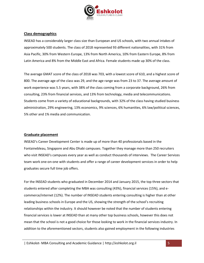

# **Class demographics**

INSEAD has a considerably larger class size than European and US schools, with two annual intakes of approximately 500 students. The class of 2018 represented 93 different nationalities, with 31% from Asia Pacific, 30% from Western Europe, 13% from North America, 10% from Eastern Europe, 8% from Latin America and 8% from the Middle East and Africa. Female students made up 30% of the class.

The average GMAT score of the class of 2018 was 703, with a lowest score of 610, and a highest score of 800. The average age of the class was 29, and the age range was from 23 to 37. The average amount of work experience was 5.5 years, with 38% of the class coming from a corporate background, 26% from consulting, 23% from financial services, and 13% from technology, media and telecommunications. Students come from a variety of educational backgrounds, with 32% of the class having studied business administration, 29% engineering, 13% economics, 9% sciences, 6% humanities, 6% law/political sciences, 5% other and 1% media and communication.

# **Graduate placement**

INSEAD's Career Development Center is made up of more than 40 professionals based in the Fontainebleau, Singapore and Abu Dhabi campuses. Together they manage more than 250 recruiters who visit INSEAD's campuses every year as well as conduct thousands of interviews. The Career Services team work one-on-one with students and offer a range of career development services in order to help graduates secure full time job offers.

For the INSEAD students who graduated in December 2014 and January 2015, the top three sectors that students entered after completing the MBA was consulting (43%), financial services (15%), and ecommerce/internet (12%). The number of INSEAD students entering consulting is higher than at other leading business schools in Europe and the US, showing the strength of the school's recruiting relationships within the industry. It should however be noted that the number of students entering financial services is lower at INSEAD than at many other top business schools, however this does not mean that the school is not a good choice for those looking to work in the financial services industry. In addition to the aforementioned sectors, students also gained employment in the following industries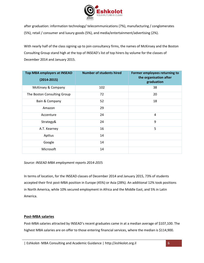

after graduation: information technology/ telecommunications (7%), manufacturing / conglomerates (5%), retail / consumer and luxury goods (5%), and media/entertainment/advertising (2%).

With nearly half of the class signing up to join consultancy firms, the names of McKinsey and the Boston Consulting Group stand high at the top of INSEAD's list of top hirers by volume for the classes of December 2014 and January 2015.

| Top MBA employers at INSEAD<br>$(2014 - 2015)$ | <b>Number of students hired</b> | Former employees returning to<br>the organisation after<br>graduation |
|------------------------------------------------|---------------------------------|-----------------------------------------------------------------------|
| McKinsey & Company                             | 102                             | 38                                                                    |
| The Boston Consulting Group                    | 72                              | 20                                                                    |
| Bain & Company                                 | 52                              | 18                                                                    |
| Amazon                                         | 29                              |                                                                       |
| Accenture                                      | 24                              | 4                                                                     |
| Strategy&                                      | 24                              | 9                                                                     |
| A.T. Kearney                                   | 16                              | 5                                                                     |
| Apttus                                         | 14                              |                                                                       |
| Google                                         | 14                              |                                                                       |
| Microsoft                                      | 14                              |                                                                       |

# *Source: INSEAD MBA employment reports 2014-201*5

In terms of location, for the INSEAD classes of December 2014 and January 2015, 73% of students accepted their first post-MBA position in Europe (45%) or Asia (28%). An additional 12% took positions in North America, while 10% secured employment in Africa and the Middle East, and 5% in Latin America.

# **Post-MBA salaries**

Post-MBA salaries attracted by INSEAD's recent graduates came in at a median average of \$107,100. The highest MBA salaries are on offer to those entering financial services, where the median is \$114,900.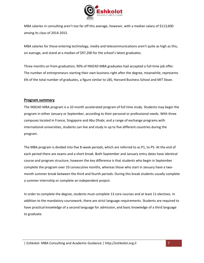

MBA salaries in consulting aren't too far off this average, however, with a median salary of \$113,600 among its class of 2014-2015.

MBA salaries for those entering technology, media and telecommunications aren't quite as high as this, on average, and stand at a median of \$97,200 for the school's latest graduates.

Three months on from graduation, 90% of INSEAD MBA graduates had accepted a full-time job offer. The number of entrepreneurs starting their own business right after the degree, meanwhile, represents 6% of the total number of graduates, a figure similar to LBS, [Harvard Business School](http://www.topmba.com/institution/harvard-business-school-harvard-university) and [MIT Sloan.](http://www.topmba.com/institution/sloan-school-management-massachusett-institute-technology)

### **Program summary**

The INSEAD MBA program is a 10 month accelerated program of full time study. Students may begin the program in either January or September, according to their personal or professional needs. With three campuses located in France, Singapore and Abu Dhabi, and a range of exchange programs with international universities, students can live and study in up to five different countries during the program.

The MBA program is divided into five 8-week periods, which are referred to as P1, to P5. At the end of each period there are exams and a short break. Both September and January entry dates have identical course and program structure, however the key difference is that students who begin in September complete the program over 10 consecutive months, whereas those who start in January have a twomonth summer break between the third and fourth periods. During this break students usually complete a summer internship or complete an independent project.

In order to complete the degree, students must complete 13 core courses and at least 11 electives. In addition to the mandatory coursework, there are strict language requirements. Students are required to have practical knowledge of a second language for admission, and basic knowledge of a third language to graduate.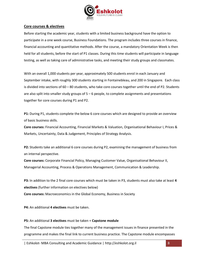

# **Core courses & electives**

Before starting the academic year, students with a limited business background have the option to participate in a one week course, Business Foundations. The program includes three courses in finance, financial accounting and quantitative methods. After the course, a mandatory Orientation Week is then held for all students, before the start of P1 classes. During this time students will participate in language testing, as well as taking care of administrative tasks, and meeting their study groups and classmates.

With an overall 1,000 students per year, approximately 500 students enrol in each January and September intake, with roughly 300 students starting in Fontainebleau, and 200 in Singapore. Each class is divided into sections of 60 – 80 students, who take core courses together until the end of P2. Students are also split into smaller study groups of  $5 - 6$  people, to complete assignments and presentations together for core courses during P1 and P2.

**P1:** During P1, students complete the below 6 core courses which are designed to provide an overview of basic business skills.

**Core courses:** Financial Accounting, Financial Markets & Valuation, Organisational Behaviour I, Prices & Markets, Uncertainty, Data & Judgement, Principles of Strategy Analysis.

**P2:** Students take an additional 6 core courses during P2, examining the management of business from an internal perspective.

**Core courses:** Corporate Financial Policy, Managing Customer Value, Organisational Behaviour II, Managerial Accounting, Process & Operations Management, Communication & Leadership.

**P3:** In addition to the 2 final core courses which must be taken in P3, students must also take at least **4 electives** (further information on electives below)

**Core courses:** Macroeconomics in the Global Economy, Business in Society

**P4:** An additional **4 electives** must be taken.

#### **P5:** An additional **3 electives** must be taken + **Capstone module**

The final Capstone module ties together many of the management issues in finance presented in the programme and makes the final link to current business practice. The Capstone module encompasses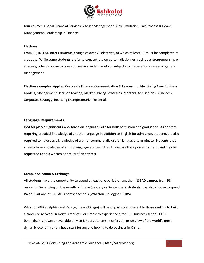

four courses: Global Financial Services & Asset Management, Alco Simulation, Fair Process & Board Management, Leadership in Finance.

#### **Electives:**

From P3, INSEAD offers students a range of over 75 electives, of which at least 11 must be completed to graduate. While some students prefer to concentrate on certain disciplines, such as entrepreneurship or strategy, others choose to take courses in a wider variety of subjects to prepare for a career in general management.

**Elective examples**: Applied Corporate Finance, Communication & Leadership, Identifying New Business Models, Management Decision Making, Market Driving Strategies, Mergers, Acquisitions, Alliances & Corporate Strategy, Realising Entrepreneurial Potential.

#### **Language Requirements**

INSEAD places significant importance on language skills for both admission and graduation. Aside from requiring practical knowledge of another language in addition to English for admission, students are also required to have basic knowledge of a third 'commercially useful' language to graduate. Students that already have knowledge of a third language are permitted to declare this upon enrolment, and may be requested to sit a written or oral proficiency test.

#### **Campus Selection & Exchange**

All students have the opportunity to spend at least one period on another INSEAD campus from P3 onwards. Depending on the month of intake (January or September), students may also choose to spend P4 or P5 at one of INSEAD's partner schools (Wharton, Kellogg or CEIBS).

Wharton (Philadelphia) and Kellogg (near Chicago) will be of particular interest to those seeking to build a career or network in North America – or simply to experience a top U.S. business school. CEIBS (Shanghai) is however available only to January starters. It offers an inside view of the world's most dynamic economy and a head start for anyone hoping to do business in China.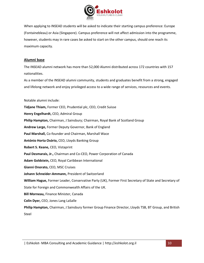

When applying to INSEAD students will be asked to indicate their starting campus preference: Europe (Fontainebleau) or Asia (Singapore). Campus preference will not affect admission into the programme, however, students may in rare cases be asked to start on the other campus, should one reach its maximum capacity.

# **Alumni base**

The INSEAD alumni network has more than 52,000 Alumni distributed across 172 countries with 157 nationalities.

As a member of the INSEAD alumni community, students and graduates benefit from a strong, engaged and lifelong network and enjoy privileged access to a wide range of services, resources and events.

Notable alumni include: **[Tidjane Thiam,](https://en.wikipedia.org/wiki/Tidjane_Thiam)** Former CEO, [Prudential plc,](https://en.wikipedia.org/wiki/Prudential_plc) CEO, [Credit Suisse](https://en.wikipedia.org/wiki/Credit_Suisse) **[Henry Engelhardt,](https://en.wikipedia.org/wiki/Henry_Engelhardt)** CEO, [Admiral Group](https://en.wikipedia.org/wiki/Admiral_Group) [Philip Hampton,](https://en.wikipedia.org/wiki/Philip_Hampton) Chairman, [J Sainsbury;](https://en.wikipedia.org/wiki/J_Sainsbury) Chairman, [Royal Bank of Scotland Group](https://en.wikipedia.org/wiki/Royal_Bank_of_Scotland_Group) **[Andrew Large,](https://en.wikipedia.org/wiki/Andrew_Large)** Former Deputy Governor, [Bank of England](https://en.wikipedia.org/wiki/Bank_of_England) **[Paul Marshall,](https://en.wikipedia.org/wiki/Paul_Marshall_(financier))** Co-founder and Chairman, [Marshall Wace](https://en.wikipedia.org/wiki/Marshall_Wace) **[António Horta Osório,](https://en.wikipedia.org/wiki/Ant%C3%B3nio_Mota_de_Sousa_Horta_Os%C3%B3rio)** CEO, [Lloyds Banking Group](https://en.wikipedia.org/wiki/Lloyds_Banking_Group) **[Robert S. Keane,](https://en.wikipedia.org/w/index.php?title=Robert_S._Keane&action=edit&redlink=1)** CEO, [Vistaprint](https://en.wikipedia.org/wiki/Vistaprint) **[Paul Desmarais, Jr.,](https://en.wikipedia.org/wiki/Paul_Desmarais,_Jr.)** Chairman and Co-CEO, [Power Corporation of Canada](https://en.wikipedia.org/wiki/Power_Corporation_of_Canada) **[Adam Goldstein,](https://en.wikipedia.org/wiki/Adam_Goldstein)** CEO, [Royal Caribbean International](https://en.wikipedia.org/wiki/Royal_Caribbean_International) **Gianni Onorato,** CEO, [MSC Cruises](https://en.wikipedia.org/wiki/MSC_Cruises) **[Johann Schneider-Ammann,](https://en.wikipedia.org/wiki/Johann_Schneider-Ammann) President of Switzerland [William Hague,](https://en.wikipedia.org/wiki/William_Hague)** Former Leader, [Conservative Party \(UK\),](https://en.wikipedia.org/wiki/Conservative_Party_(UK)) Former [First Secretary of State](https://en.wikipedia.org/wiki/First_Secretary_of_State) and [Secretary of](https://en.wikipedia.org/wiki/Secretary_of_State_for_Foreign_and_Commonwealth_Affairs)  [State for Foreign and Commonwealth Affairs](https://en.wikipedia.org/wiki/Secretary_of_State_for_Foreign_and_Commonwealth_Affairs) of the UK. **[Bill Morneau,](https://en.wikipedia.org/wiki/Bill_Morneau) Finance Minister, Canada [Colin Dyer,](https://en.wikipedia.org/wiki/Colin_Dyer)** CEO, [Jones Lang LaSalle](https://en.wikipedia.org/wiki/Jones_Lang_LaSalle) **[Philip Hampton,](https://en.wikipedia.org/wiki/Philip_Hampton)** Chairman, [J Sainsbury](https://en.wikipedia.org/wiki/J_Sainsbury) former Group Finance Director, Lloyds TSB, BT Group, and British Steel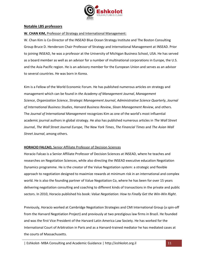

#### **Notable LBS professors**

#### **W. CHAN KIM,** Professor of Strategy and International Management:

W. Chan Kim is Co-Director of the INSEAD Blue Ocean Strategy Institute and The Boston Consulting Group Bruce D. Henderson Chair Professor of Strategy and International Management at INSEAD. Prior to joining INSEAD, he was a professor at the University of Michigan Business School, USA. He has served as a board member as well as an advisor for a number of multinational corporations in Europe, the U.S. and the Asia Pacific region. He is an advisory member for the European Union and serves as an advisor to several countries. He was born in Korea.

Kim is a Fellow of the World Economic Forum. He has published numerous articles on strategy and management which can be found in *the Academy of Management Journal*, *Management Science*, *Organization Science*, *Strategic Management Journal*, *Administrative Science Quarterly*, *Journal of International Business Studies*, *Harvard Business Review*, *Sloan Management Review*, and others. The *Journal of International Management* recognizes Kim as one of the world's most influential academic journal authors in global strategy. He also has published numerous articles in *The Wall Street Journal*, *The Wall Street Journal Europe*, *The New York Times*, *The Financial Times* and *The Asian Wall Street Journal*, among others.

#### **HORACIO FALCAO,** Senior Affiliate Professor of Decision Sciences

Horacio Falcao is a Senior Affiliate Professor of Decision Sciences at INSEAD, where he teaches and researches on Negotiation Sciences, while also directing the INSEAD executive education Negotiation Dynamics programme. He is the creator of the Value Negotiation system: a strategic and flexible approach to negotiation designed to maximize rewards at minimum risk in an international and complex world. He is also the founding partner of Value Negotiation Co, where he has been for over 15 years delivering negotiation consulting and coaching to different kinds of transactions in the private and public sectors. In 2010, Horacio published his book: *Value Negotiation: How to Finally Get the Win-Win Right*.

Previously, Horacio worked at Cambridge Negotiation Strategies and CMI International Group (a spin-off from the Harvard Negotiation Project) and previously at two prestigious law firms in Brazil. He founded and was the first Vice President of the Harvard Latin America Law Society. He has worked for the International Court of Arbitration in Paris and as a Harvard-trained mediator he has mediated cases at the courts of Massachusetts.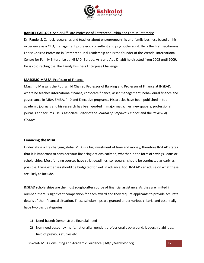

#### **RANDEL CARLOCK**, Senior Affiliate Professor of Entrepreneurship and Family Enterprise

Dr. Randel S. Carlock researches and teaches about entrepreneurship and family business based on his experience as a CEO, management professor, consultant and psychotherapist. He is the first Berghmans Lhoist Chaired Professor in Entrepreneurial Leadership and is the founder of the Wendel International Centre for Family Enterprise at INSEAD (Europe, Asia and Abu Dhabi) he directed from 2005 until 2009. He is co-directing the [The Family Business Enterprise Challenge.](https://www.insead.edu/executive-education/entrepreneurship-family-business/family-enterprise-challenge)

#### **MASSIMO MASSA**, Professor of Finance

Massimo Massa is the Rothschild Chaired Professor of Banking and Professor of Finance at INSEAD, where he teaches international finance, corporate finance, asset management, behavioural finance and governance in MBA, EMBA, PhD and Executive programs. His articles have been published in top academic journals and his research has been quoted in major magazines, newspapers, professional journals and forums. He is Associate Editor of the *Journal of Empirical Finance* and the *Review of Finance*.

#### **Financing the MBA**

Undertaking a life changing global MBA is a big investment of time and money, therefore INSEAD states that it is important to consider your financing options early on, whether in the form of savings, loans or scholarships. Most funding sources have strict deadlines, so research should be conducted as early as possible. Living expenses should be budgeted for well in advance, too. INSEAD can advise on what these are likely to include.

INSEAD scholarships are the most sought-after source of financial assistance. As they are limited in number, there is significant competition for each award and they require applicants to provide accurate details of their financial situation. These scholarships are granted under various criteria and essentially have two basic categories:

- 1) Need-based: Demonstrate financial need
- 2) Non-need based: by merit, nationality, gender, professional background, leadership abilities, field of previous studies etc.